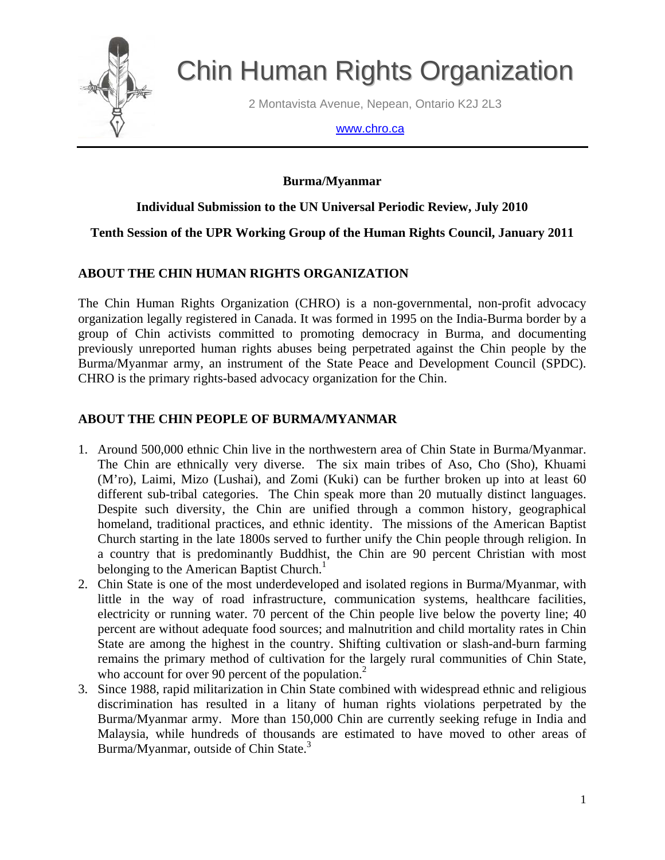

# Chin Human Rights Organization

2 Montavista Avenue, Nepean, Ontario K2J 2L3

#### www.chro.ca

# **Burma/Myanmar**

# **Individual Submission to the UN Universal Periodic Review, July 2010**

# **Tenth Session of the UPR Working Group of the Human Rights Council, January 2011**

# **ABOUT THE CHIN HUMAN RIGHTS ORGANIZATION**

The Chin Human Rights Organization (CHRO) is a non-governmental, non-profit advocacy organization legally registered in Canada. It was formed in 1995 on the India-Burma border by a group of Chin activists committed to promoting democracy in Burma, and documenting previously unreported human rights abuses being perpetrated against the Chin people by the Burma/Myanmar army, an instrument of the State Peace and Development Council (SPDC). CHRO is the primary rights-based advocacy organization for the Chin.

# **ABOUT THE CHIN PEOPLE OF BURMA/MYANMAR**

- 1. Around 500,000 ethnic Chin live in the northwestern area of Chin State in Burma/Myanmar. The Chin are ethnically very diverse. The six main tribes of Aso, Cho (Sho), Khuami (M'ro), Laimi, Mizo (Lushai), and Zomi (Kuki) can be further broken up into at least 60 different sub-tribal categories. The Chin speak more than 20 mutually distinct languages. Despite such diversity, the Chin are unified through a common history, geographical homeland, traditional practices, and ethnic identity. The missions of the American Baptist Church starting in the late 1800s served to further unify the Chin people through religion. In a country that is predominantly Buddhist, the Chin are 90 percent Christian with most belonging to the American Baptist Church.<sup>1</sup>
- 2. Chin State is one of the most underdeveloped and isolated regions in Burma/Myanmar, with little in the way of road infrastructure, communication systems, healthcare facilities, electricity or running water. 70 percent of the Chin people live below the poverty line; 40 percent are without adequate food sources; and malnutrition and child mortality rates in Chin State are among the highest in the country. Shifting cultivation or slash-and-burn farming remains the primary method of cultivation for the largely rural communities of Chin State, who account for over 90 percent of the population.<sup>2</sup>
- 3. Since 1988, rapid militarization in Chin State combined with widespread ethnic and religious discrimination has resulted in a litany of human rights violations perpetrated by the Burma/Myanmar army. More than 150,000 Chin are currently seeking refuge in India and Malaysia, while hundreds of thousands are estimated to have moved to other areas of Burma/Myanmar, outside of Chin State.<sup>3</sup>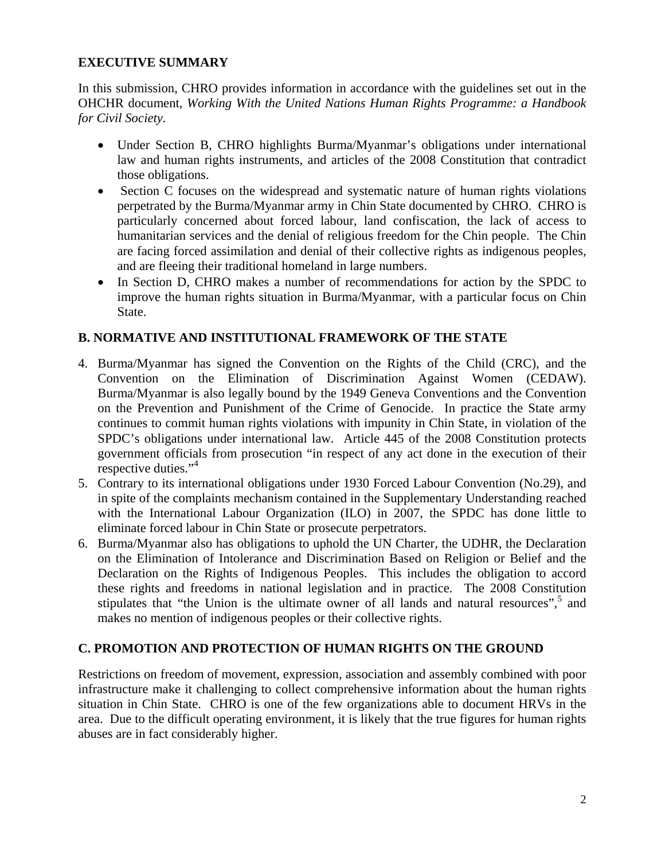## **EXECUTIVE SUMMARY**

In this submission, CHRO provides information in accordance with the guidelines set out in the OHCHR document, *Working With the United Nations Human Rights Programme: a Handbook for Civil Society.* 

- Under Section B, CHRO highlights Burma/Myanmar's obligations under international law and human rights instruments, and articles of the 2008 Constitution that contradict those obligations.
- Section C focuses on the widespread and systematic nature of human rights violations perpetrated by the Burma/Myanmar army in Chin State documented by CHRO. CHRO is particularly concerned about forced labour, land confiscation, the lack of access to humanitarian services and the denial of religious freedom for the Chin people. The Chin are facing forced assimilation and denial of their collective rights as indigenous peoples, and are fleeing their traditional homeland in large numbers.
- In Section D, CHRO makes a number of recommendations for action by the SPDC to improve the human rights situation in Burma/Myanmar, with a particular focus on Chin State.

## **B. NORMATIVE AND INSTITUTIONAL FRAMEWORK OF THE STATE**

- 4. Burma/Myanmar has signed the Convention on the Rights of the Child (CRC), and the Convention on the Elimination of Discrimination Against Women (CEDAW). Burma/Myanmar is also legally bound by the 1949 Geneva Conventions and the Convention on the Prevention and Punishment of the Crime of Genocide. In practice the State army continues to commit human rights violations with impunity in Chin State, in violation of the SPDC's obligations under international law. Article 445 of the 2008 Constitution protects government officials from prosecution "in respect of any act done in the execution of their respective duties."<sup>4</sup>
- 5. Contrary to its international obligations under 1930 Forced Labour Convention (No.29), and in spite of the complaints mechanism contained in the Supplementary Understanding reached with the International Labour Organization (ILO) in 2007, the SPDC has done little to eliminate forced labour in Chin State or prosecute perpetrators.
- 6. Burma/Myanmar also has obligations to uphold the UN Charter, the UDHR, the Declaration on the Elimination of Intolerance and Discrimination Based on Religion or Belief and the Declaration on the Rights of Indigenous Peoples. This includes the obligation to accord these rights and freedoms in national legislation and in practice. The 2008 Constitution stipulates that "the Union is the ultimate owner of all lands and natural resources",<sup>5</sup> and makes no mention of indigenous peoples or their collective rights.

## **C. PROMOTION AND PROTECTION OF HUMAN RIGHTS ON THE GROUND**

Restrictions on freedom of movement, expression, association and assembly combined with poor infrastructure make it challenging to collect comprehensive information about the human rights situation in Chin State. CHRO is one of the few organizations able to document HRVs in the area. Due to the difficult operating environment, it is likely that the true figures for human rights abuses are in fact considerably higher.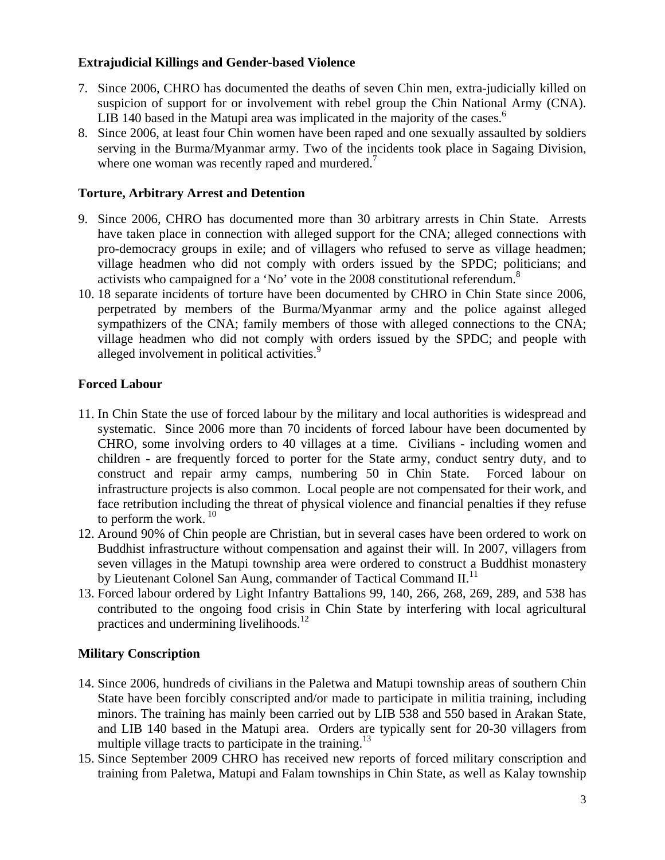## **Extrajudicial Killings and Gender-based Violence**

- 7. Since 2006, CHRO has documented the deaths of seven Chin men, extra-judicially killed on suspicion of support for or involvement with rebel group the Chin National Army (CNA). LIB 140 based in the Matupi area was implicated in the majority of the cases.<sup>6</sup>
- 8. Since 2006, at least four Chin women have been raped and one sexually assaulted by soldiers serving in the Burma/Myanmar army. Two of the incidents took place in Sagaing Division, where one woman was recently raped and murdered.<sup>7</sup>

## **Torture, Arbitrary Arrest and Detention**

- 9. Since 2006, CHRO has documented more than 30 arbitrary arrests in Chin State. Arrests have taken place in connection with alleged support for the CNA; alleged connections with pro-democracy groups in exile; and of villagers who refused to serve as village headmen; village headmen who did not comply with orders issued by the SPDC; politicians; and activists who campaigned for a 'No' vote in the 2008 constitutional referendum.<sup>8</sup>
- 10. 18 separate incidents of torture have been documented by CHRO in Chin State since 2006, perpetrated by members of the Burma/Myanmar army and the police against alleged sympathizers of the CNA; family members of those with alleged connections to the CNA; village headmen who did not comply with orders issued by the SPDC; and people with alleged involvement in political activities.<sup>9</sup>

# **Forced Labour**

- 11. In Chin State the use of forced labour by the military and local authorities is widespread and systematic. Since 2006 more than 70 incidents of forced labour have been documented by CHRO, some involving orders to 40 villages at a time. Civilians - including women and children - are frequently forced to porter for the State army, conduct sentry duty, and to construct and repair army camps, numbering 50 in Chin State. Forced labour on infrastructure projects is also common. Local people are not compensated for their work, and face retribution including the threat of physical violence and financial penalties if they refuse to perform the work.  $10$
- 12. Around 90% of Chin people are Christian, but in several cases have been ordered to work on Buddhist infrastructure without compensation and against their will. In 2007, villagers from seven villages in the Matupi township area were ordered to construct a Buddhist monastery by Lieutenant Colonel San Aung, commander of Tactical Command II.<sup>11</sup>
- 13. Forced labour ordered by Light Infantry Battalions 99, 140, 266, 268, 269, 289, and 538 has contributed to the ongoing food crisis in Chin State by interfering with local agricultural practices and undermining livelihoods.<sup>12</sup>

## **Military Conscription**

- 14. Since 2006, hundreds of civilians in the Paletwa and Matupi township areas of southern Chin State have been forcibly conscripted and/or made to participate in militia training, including minors. The training has mainly been carried out by LIB 538 and 550 based in Arakan State, and LIB 140 based in the Matupi area. Orders are typically sent for 20-30 villagers from multiple village tracts to participate in the training.<sup>13</sup>
- 15. Since September 2009 CHRO has received new reports of forced military conscription and training from Paletwa, Matupi and Falam townships in Chin State, as well as Kalay township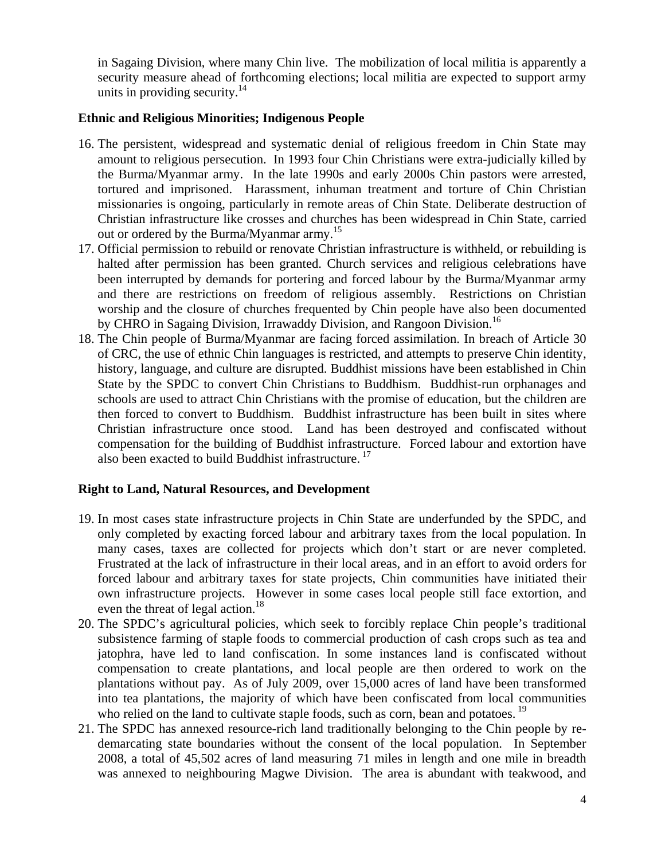in Sagaing Division, where many Chin live. The mobilization of local militia is apparently a security measure ahead of forthcoming elections; local militia are expected to support army units in providing security. $14$ 

#### **Ethnic and Religious Minorities; Indigenous People**

- 16. The persistent, widespread and systematic denial of religious freedom in Chin State may amount to religious persecution. In 1993 four Chin Christians were extra-judicially killed by the Burma/Myanmar army. In the late 1990s and early 2000s Chin pastors were arrested, tortured and imprisoned. Harassment, inhuman treatment and torture of Chin Christian missionaries is ongoing, particularly in remote areas of Chin State. Deliberate destruction of Christian infrastructure like crosses and churches has been widespread in Chin State, carried out or ordered by the Burma/Myanmar army.<sup>15</sup>
- 17. Official permission to rebuild or renovate Christian infrastructure is withheld, or rebuilding is halted after permission has been granted. Church services and religious celebrations have been interrupted by demands for portering and forced labour by the Burma/Myanmar army and there are restrictions on freedom of religious assembly. Restrictions on Christian worship and the closure of churches frequented by Chin people have also been documented by CHRO in Sagaing Division, Irrawaddy Division, and Rangoon Division.<sup>16</sup>
- 18. The Chin people of Burma/Myanmar are facing forced assimilation. In breach of Article 30 of CRC, the use of ethnic Chin languages is restricted, and attempts to preserve Chin identity, history, language, and culture are disrupted. Buddhist missions have been established in Chin State by the SPDC to convert Chin Christians to Buddhism. Buddhist-run orphanages and schools are used to attract Chin Christians with the promise of education, but the children are then forced to convert to Buddhism. Buddhist infrastructure has been built in sites where Christian infrastructure once stood. Land has been destroyed and confiscated without compensation for the building of Buddhist infrastructure. Forced labour and extortion have also been exacted to build Buddhist infrastructure.<sup>17</sup>

## **Right to Land, Natural Resources, and Development**

- 19. In most cases state infrastructure projects in Chin State are underfunded by the SPDC, and only completed by exacting forced labour and arbitrary taxes from the local population. In many cases, taxes are collected for projects which don't start or are never completed. Frustrated at the lack of infrastructure in their local areas, and in an effort to avoid orders for forced labour and arbitrary taxes for state projects, Chin communities have initiated their own infrastructure projects. However in some cases local people still face extortion, and even the threat of legal action.<sup>18</sup>
- 20. The SPDC's agricultural policies, which seek to forcibly replace Chin people's traditional subsistence farming of staple foods to commercial production of cash crops such as tea and jatophra, have led to land confiscation. In some instances land is confiscated without compensation to create plantations, and local people are then ordered to work on the plantations without pay. As of July 2009, over 15,000 acres of land have been transformed into tea plantations, the majority of which have been confiscated from local communities who relied on the land to cultivate staple foods, such as corn, bean and potatoes.<sup>19</sup>
- 21. The SPDC has annexed resource-rich land traditionally belonging to the Chin people by redemarcating state boundaries without the consent of the local population. In September 2008, a total of 45,502 acres of land measuring 71 miles in length and one mile in breadth was annexed to neighbouring Magwe Division. The area is abundant with teakwood, and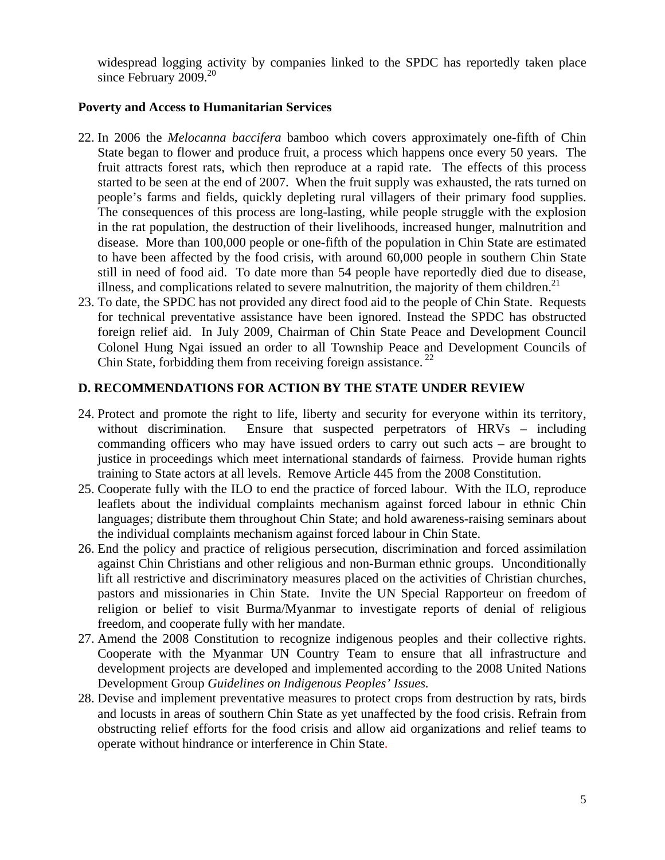widespread logging activity by companies linked to the SPDC has reportedly taken place since February  $2009.<sup>20</sup>$ 

#### **Poverty and Access to Humanitarian Services**

- 22. In 2006 the *Melocanna baccifera* bamboo which covers approximately one-fifth of Chin State began to flower and produce fruit, a process which happens once every 50 years. The fruit attracts forest rats, which then reproduce at a rapid rate. The effects of this process started to be seen at the end of 2007. When the fruit supply was exhausted, the rats turned on people's farms and fields, quickly depleting rural villagers of their primary food supplies. The consequences of this process are long-lasting, while people struggle with the explosion in the rat population, the destruction of their livelihoods, increased hunger, malnutrition and disease. More than 100,000 people or one-fifth of the population in Chin State are estimated to have been affected by the food crisis, with around 60,000 people in southern Chin State still in need of food aid. To date more than 54 people have reportedly died due to disease, illness, and complications related to severe malnutrition, the majority of them children.<sup>21</sup>
- 23. To date, the SPDC has not provided any direct food aid to the people of Chin State. Requests for technical preventative assistance have been ignored. Instead the SPDC has obstructed foreign relief aid. In July 2009, Chairman of Chin State Peace and Development Council Colonel Hung Ngai issued an order to all Township Peace and Development Councils of Chin State, forbidding them from receiving foreign assistance.<sup>22</sup>

## **D. RECOMMENDATIONS FOR ACTION BY THE STATE UNDER REVIEW**

- 24. Protect and promote the right to life, liberty and security for everyone within its territory, without discrimination. Ensure that suspected perpetrators of HRVs – including commanding officers who may have issued orders to carry out such acts – are brought to justice in proceedings which meet international standards of fairness. Provide human rights training to State actors at all levels. Remove Article 445 from the 2008 Constitution.
- 25. Cooperate fully with the ILO to end the practice of forced labour. With the ILO, reproduce leaflets about the individual complaints mechanism against forced labour in ethnic Chin languages; distribute them throughout Chin State; and hold awareness-raising seminars about the individual complaints mechanism against forced labour in Chin State.
- 26. End the policy and practice of religious persecution, discrimination and forced assimilation against Chin Christians and other religious and non-Burman ethnic groups. Unconditionally lift all restrictive and discriminatory measures placed on the activities of Christian churches, pastors and missionaries in Chin State. Invite the UN Special Rapporteur on freedom of religion or belief to visit Burma/Myanmar to investigate reports of denial of religious freedom, and cooperate fully with her mandate.
- 27. Amend the 2008 Constitution to recognize indigenous peoples and their collective rights. Cooperate with the Myanmar UN Country Team to ensure that all infrastructure and development projects are developed and implemented according to the 2008 United Nations Development Group *Guidelines on Indigenous Peoples' Issues.*
- 28. Devise and implement preventative measures to protect crops from destruction by rats, birds and locusts in areas of southern Chin State as yet unaffected by the food crisis. Refrain from obstructing relief efforts for the food crisis and allow aid organizations and relief teams to operate without hindrance or interference in Chin State.